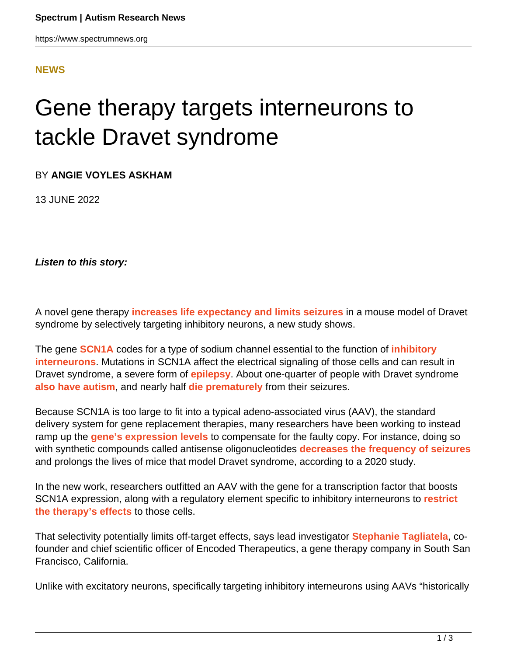## **[NEWS](HTTPS://WWW.SPECTRUMNEWS.ORG/NEWS/)**

## Gene therapy targets interneurons to tackle Dravet syndrome

BY **ANGIE VOYLES ASKHAM**

13 JUNE 2022

**Listen to this story:**

A novel gene therapy **[increases life expectancy and limits seizures](http://doi.org/10.1089/hum.2022.037)** in a mouse model of Dravet syndrome by selectively targeting inhibitory neurons, a new study shows.

The gene **[SCN1A](https://gene.sfari.org/database/human-gene/SCN1A)** codes for a type of sodium channel essential to the function of **[inhibitory](https://doi.org/10.1073/pnas.1411131111) [interneurons](https://doi.org/10.1073/pnas.1411131111)**. Mutations in SCN1A affect the electrical signaling of those cells and can result in Dravet syndrome, a severe form of **[epilepsy](https://www.spectrumnews.org/news/the-link-between-epilepsy-and-autism-explained)**. About one-quarter of people with Dravet syndrome **[also have autism](https://www.spectrumnews.org/news/clinical-research-rare-epilepsy-syndrome-accompanied-by-autism/)**, and nearly half **[die prematurely](https://doi.org/10.1016/j.yebeh.2016.09.007)** from their seizures.

Because SCN1A is too large to fit into a typical adeno-associated virus (AAV), the standard delivery system for gene replacement therapies, many researchers have been working to instead ramp up the **[gene's expression levels](https://doi.org/10.1038/s41573-020-0083-7)** to compensate for the faulty copy. For instance, doing so with synthetic compounds called antisense oligonucleotides **[decreases the frequency of seizures](https://www.spectrumnews.org/news/silencing-poison-exon-eliminates-deadly-seizures-in-mice/)** and prolongs the lives of mice that model Dravet syndrome, according to a 2020 study.

In the new work, researchers outfitted an AAV with the gene for a transcription factor that boosts SCN1A expression, along with a regulatory element specific to inhibitory interneurons to **[restrict](https://www.spectrumnews.org/news/virus-based-method-manipulates-inhibitory-neurons-in-brains/) [the therapy's effects](https://www.spectrumnews.org/news/virus-based-method-manipulates-inhibitory-neurons-in-brains/)** to those cells.

That selectivity potentially limits off-target effects, says lead investigator **[Stephanie Tagliatela](https://encoded.com/leadership/stephanie-tagliatela/)**, cofounder and chief scientific officer of Encoded Therapeutics, a gene therapy company in South San Francisco, California.

Unlike with excitatory neurons, specifically targeting inhibitory interneurons using AAVs "historically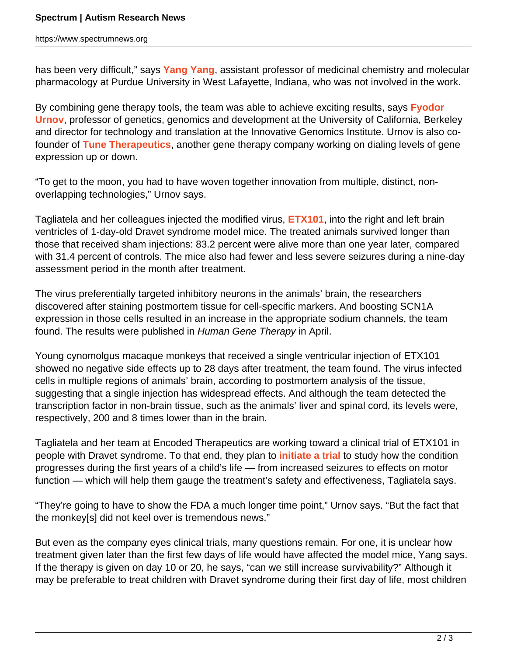https://www.spectrumnews.org

has been very difficult," says **[Yang Yang](https://www.mcmp.purdue.edu/faculty/yang1497)**, assistant professor of medicinal chemistry and molecular pharmacology at Purdue University in West Lafayette, Indiana, who was not involved in the work.

By combining gene therapy tools, the team was able to achieve exciting results, says **[Fyodor](https://mcb.berkeley.edu/faculty/ggd/urnovf) [Urnov](https://mcb.berkeley.edu/faculty/ggd/urnovf)**, professor of genetics, genomics and development at the University of California, Berkeley and director for technology and translation at the Innovative Genomics Institute. Urnov is also cofounder of **[Tune Therapeutics](https://tunetx.com/)**, another gene therapy company working on dialing levels of gene expression up or down.

"To get to the moon, you had to have woven together innovation from multiple, distinct, nonoverlapping technologies," Urnov says.

Tagliatela and her colleagues injected the modified virus, **[ETX101](https://encoded.com/programs/etx101-for-dravet-syndrome/)**, into the right and left brain ventricles of 1-day-old Dravet syndrome model mice. The treated animals survived longer than those that received sham injections: 83.2 percent were alive more than one year later, compared with 31.4 percent of controls. The mice also had fewer and less severe seizures during a nine-day assessment period in the month after treatment.

The virus preferentially targeted inhibitory neurons in the animals' brain, the researchers discovered after staining postmortem tissue for cell-specific markers. And boosting SCN1A expression in those cells resulted in an increase in the appropriate sodium channels, the team found. The results were published in Human Gene Therapy in April.

Young cynomolgus macaque monkeys that received a single ventricular injection of ETX101 showed no negative side effects up to 28 days after treatment, the team found. The virus infected cells in multiple regions of animals' brain, according to postmortem analysis of the tissue, suggesting that a single injection has widespread effects. And although the team detected the transcription factor in non-brain tissue, such as the animals' liver and spinal cord, its levels were, respectively, 200 and 8 times lower than in the brain.

Tagliatela and her team at Encoded Therapeutics are working toward a clinical trial of ETX101 in people with Dravet syndrome. To that end, they plan to **[initiate a trial](https://clinicaltrials.gov/ct2/show/NCT04537832)** to study how the condition progresses during the first years of a child's life — from increased seizures to effects on motor function — which will help them gauge the treatment's safety and effectiveness, Tagliatela says.

"They're going to have to show the FDA a much longer time point," Urnov says. "But the fact that the monkey[s] did not keel over is tremendous news."

But even as the company eyes clinical trials, many questions remain. For one, it is unclear how treatment given later than the first few days of life would have affected the model mice, Yang says. If the therapy is given on day 10 or 20, he says, "can we still increase survivability?" Although it may be preferable to treat children with Dravet syndrome during their first day of life, most children